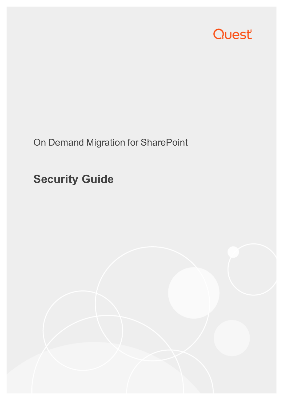

On Demand Migration for SharePoint

# **Security Guide**

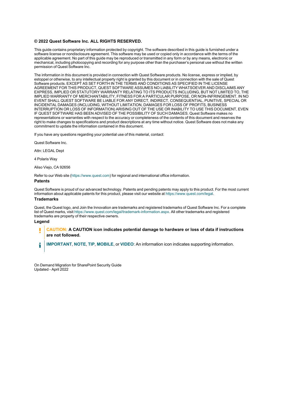#### **© 2022 Quest Software Inc. ALL RIGHTS RESERVED.**

This guide contains proprietary information protected by copyright. The software described in this guide is furnished under a software license or nondisclosure agreement. This software may be used or copied only in accordance with the terms of the applicable agreement. No part of this guide may be reproduced or transmitted in any form or by any means, electronic or mechanical, including photocopying and recording for any purpose other than the purchaser's personal use without the written permission of Quest Software Inc.

The information in this document is provided in connection with Quest Software products. No license, express or implied, by estoppel or otherwise, to any intellectual property right is granted by this document or in connection with the sale of Quest Software products. EXCEPT AS SET FORTH IN THE TERMS AND CONDITIONS AS SPECIFIED IN THE LICENSE AGREEMENT FOR THIS PRODUCT, QUEST SOFTWARE ASSUMES NO LIABILITY WHATSOEVER AND DISCLAIMS ANY EXPRESS, IMPLIED OR STATUTORY WARRANTY RELATING TO ITS PRODUCTS INCLUDING, BUT NOT LIMITED TO, THE IMPLIED WARRANTY OF MERCHANTABILITY, FITNESS FOR A PARTICULAR PURPOSE, OR NON-INFRINGEMENT. IN NO EVENT SHALL QUEST SOFTWARE BE LIABLE FOR ANY DIRECT, INDIRECT, CONSEQUENTIAL, PUNITIVE, SPECIAL OR INCIDENTAL DAMAGES (INCLUDING, WITHOUT LIMITATION, DAMAGES FOR LOSS OF PROFITS, BUSINESS INTERRUPTION OR LOSS OF INFORMATION) ARISING OUT OF THE USE OR INABILITY TO USE THIS DOCUMENT, EVEN IF QUEST SOFTWARE HAS BEEN ADVISED OF THE POSSIBILITY OF SUCH DAMAGES. Quest Software makes no representations or warranties with respect to the accuracy or completeness of the contents of this document and reserves the right to make changes to specifications and product descriptions at any time without notice. Quest Software does not make any commitment to update the information contained in this document.

If you have any questions regarding your potential use of this material, contact:

Quest Software Inc.

Attn: LEGAL Dept

4 Polaris Way

Aliso Viejo, CA 92656

Refer to our Web site [\(https://www.quest.com\)](https://www.quest.com/) for regional and international office information.

#### **Patents**

Quest Software is proud of our advanced technology. Patents and pending patents may apply to this product. For the most current information about applicable patents for this product, please visit our website at <https://www.quest.com/legal>.

#### **Trademarks**

Quest, the Quest logo, and Join the Innovation are trademarks and registered trademarks of Quest Software Inc. For a complete list of Quest marks, visit [https://www.quest.com/legal/trademark-information.aspx.](https://www.quest.com/legal/trademark-information.aspx) All other trademarks and registered trademarks are property of their respective owners.

#### **Legend**

П **CAUTION: A CAUTION icon indicates potential damage to hardware or loss of data if instructions are not followed.**

**IMPORTANT**, **NOTE**, **TIP**, **MOBILE**, or **VIDEO**: An information icon indicates supporting information. i

On Demand Migration for SharePoint Security Guide Updated - April 2022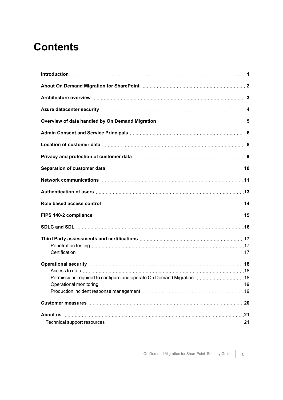### **Contents**

| About On Demand Migration for SharePoint <b>[2016]</b> About On Demand Migration for SharePoint <b>[2016]</b>                                                                                                                                                                                                                       |  |
|-------------------------------------------------------------------------------------------------------------------------------------------------------------------------------------------------------------------------------------------------------------------------------------------------------------------------------------|--|
|                                                                                                                                                                                                                                                                                                                                     |  |
| Azure datacenter security manufactured and all the datacenters are all the datacenter security manufactured and $4$                                                                                                                                                                                                                 |  |
| Overview of data handled by On Demand Migration <b>Community Contract Contract Strutter</b> 5                                                                                                                                                                                                                                       |  |
|                                                                                                                                                                                                                                                                                                                                     |  |
| Location of customer data <b>[100]</b> and <b>120]</b> and <b>120</b> and <b>120</b> and <b>120</b> and <b>120</b> and <b>120</b> and <b>120</b> and <b>120</b> and <b>120</b> and <b>120</b> and <b>120</b> and <b>120</b> and <b>120</b> and <b>120</b> and <b>120</b> and <b>120</b> and <b>120</b> and <b>120</b> and <b>12</b> |  |
|                                                                                                                                                                                                                                                                                                                                     |  |
|                                                                                                                                                                                                                                                                                                                                     |  |
|                                                                                                                                                                                                                                                                                                                                     |  |
|                                                                                                                                                                                                                                                                                                                                     |  |
| Role based access control manufactured and response and response and response and response and response and re                                                                                                                                                                                                                      |  |
|                                                                                                                                                                                                                                                                                                                                     |  |
|                                                                                                                                                                                                                                                                                                                                     |  |
|                                                                                                                                                                                                                                                                                                                                     |  |
| Penetration testing manufactured and the control of the control of the control of the control of the control of the control of the control of the control of the control of the control of the control of the control of the c                                                                                                      |  |
|                                                                                                                                                                                                                                                                                                                                     |  |
|                                                                                                                                                                                                                                                                                                                                     |  |
|                                                                                                                                                                                                                                                                                                                                     |  |
|                                                                                                                                                                                                                                                                                                                                     |  |
|                                                                                                                                                                                                                                                                                                                                     |  |
| Production incident response management manuscription and continuum manuscription incident response management                                                                                                                                                                                                                      |  |
| Customer measures measures and the contract of the contract of the contract of the contract of the contract of the contract of the contract of the contract of the contract of the contract of the contract of the contract of                                                                                                      |  |
|                                                                                                                                                                                                                                                                                                                                     |  |
|                                                                                                                                                                                                                                                                                                                                     |  |
|                                                                                                                                                                                                                                                                                                                                     |  |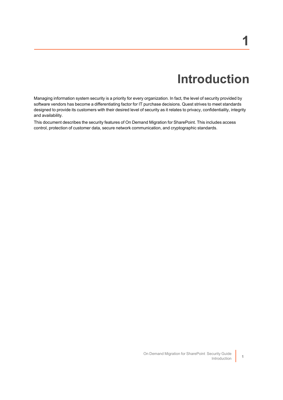# **Introduction**

<span id="page-3-0"></span>Managing information system security is a priority for every organization. In fact, the level of security provided by software vendors has become a differentiating factor for IT purchase decisions. Quest strives to meet standards designed to provide its customers with their desired level of security as it relates to privacy, confidentiality, integrity and availability.

This document describes the security features of On Demand Migration for SharePoint. This includes access control, protection of customer data, secure network communication, and cryptographic standards.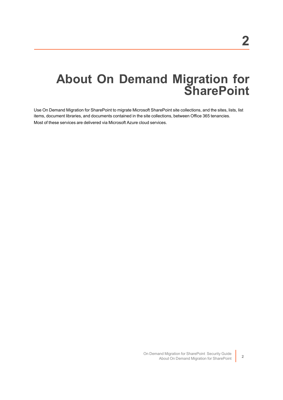## <span id="page-4-0"></span>**About On Demand Migration for SharePoint**

Use On Demand Migration for SharePoint to migrate Microsoft SharePoint site collections, and the sites, lists, list items, document libraries, and documents contained in the site collections, between Office 365 tenancies. Most of these services are delivered via Microsoft Azure cloud services.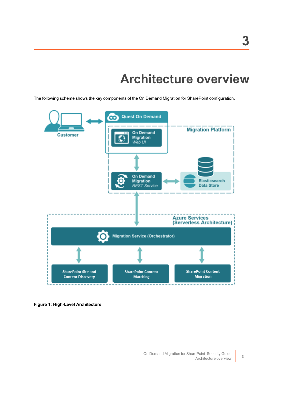## **Architecture overview**

<span id="page-5-0"></span>The following scheme shows the key components of the On Demand Migration for SharePoint configuration.



**Figure 1: High-Level Architecture**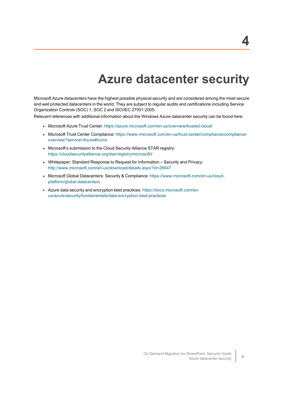## **Azure datacenter security**

<span id="page-6-0"></span>Microsoft Azure datacenters have the highest possible physical security and are considered among the most secure and well protected datacenters in the world. They are subject to regular audits and certifications including Service Organization Controls (SOC) 1, SOC 2 and ISO/IEC 27001:2005.

Relevant references with additional information about the Windows Azure datacenter security can be found here:

- Microsoft Azure Trust Center: <https://azure.microsoft.com/en-us/overview/trusted-cloud/>
- Microsoft Trust Center Compliance: [https://www.microsoft.com/en-us/trust-center/compliance/compliance](https://www.microsoft.com/en-us/trust-center/compliance/compliance-overview?service=Azure#Icons)[overview?service=Azure#Icons](https://www.microsoft.com/en-us/trust-center/compliance/compliance-overview?service=Azure#Icons)
- Microsoft's submission to the Cloud Security Alliance STAR registry: [https://cloudsecurityalliance.org/star/registry/microsoft//](https://cloudsecurityalliance.org/star/registry/microsoft/)
- Whitepaper: Standard Response to Request for Information Security and Privacy: <http://www.microsoft.com/en-us/download/details.aspx?id=26647>
- Microsoft Global Datacenters: Security & Compliance: [https://www.microsoft.com/en-us/cloud](https://www.microsoft.com/en-us/cloud-platform/global-datacenters)[platform/global-datacenters](https://www.microsoft.com/en-us/cloud-platform/global-datacenters)
- Azure data security and encryption best practices: [https://docs.microsoft.com/en](https://docs.microsoft.com/en-us/azure/security/fundamentals/data-encryption-best-practices)[us/azure/security/fundamentals/data-encryption-best-practices](https://docs.microsoft.com/en-us/azure/security/fundamentals/data-encryption-best-practices)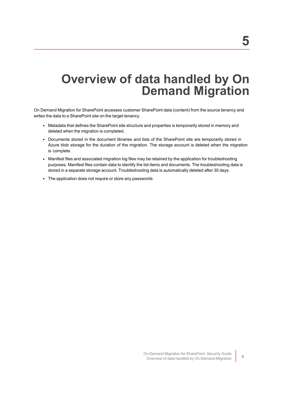## <span id="page-7-0"></span>**Overview of data handled by On Demand Migration**

On Demand Migration for SharePoint accesses customer SharePoint data (content) from the source tenancy and writes the data to a SharePoint site on the target tenancy.

- Metadata that defines the SharePoint site structure and properties is temporarily stored in memory and deleted when the migration is completed.
- Documents stored in the document libraries and lists of the SharePoint site are temporarily stored in Azure blob storage for the duration of the migration. The storage account is deleted when the migration is complete.
- Manifest files and associated migration log files may be retained by the application for troubleshooting purposes. Manifest files contain data to identify the list items and documents. The troubleshooting data is stored in a separate storage account. Troubleshooting data is automatically deleted after 30 days.
- The application does not require or store any passwords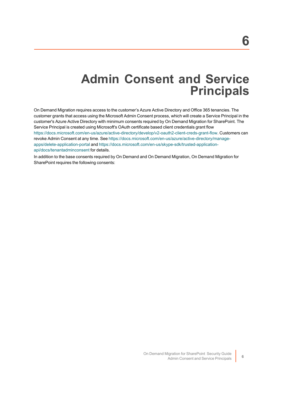### **Admin Consent and Service Principals**

<span id="page-8-0"></span>On Demand Migration requires access to the customer's Azure Active Directory and Office 365 tenancies. The customer grants that access using the Microsoft Admin Consent process, which will create a Service Principal in the customer's Azure Active Directory with minimum consents required by On Demand Migration for SharePoint. The Service Principal is created using Microsoft's OAuth certificate based client credentials grant flow <https://docs.microsoft.com/en-us/azure/active-directory/develop/v2-oauth2-client-creds-grant-flow>. Customers can revoke Admin Consent at any time. See [https://docs.microsoft.com/en-us/azure/active-directory/manage](https://docs.microsoft.com/en-us/azure/active-directory/manage-apps/delete-application-portal)[apps/delete-application-portal](https://docs.microsoft.com/en-us/azure/active-directory/manage-apps/delete-application-portal) and [https://docs.microsoft.com/en-us/skype-sdk/trusted-application](https://docs.microsoft.com/en-us/skype-sdk/trusted-application-api/docs/tenantadminconsent)[api/docs/tenantadminconsent](https://docs.microsoft.com/en-us/skype-sdk/trusted-application-api/docs/tenantadminconsent) for details.

In addition to the base consents required by On Demand and On Demand Migration, On Demand Migration for SharePoint requires the following consents: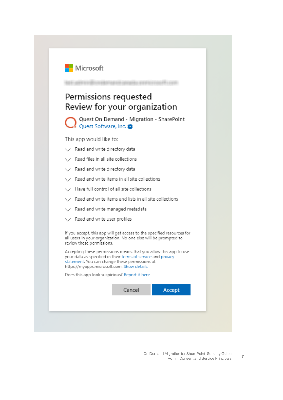

#### Permissions requested Review for your organization

Quest On Demand - Migration - SharePoint Quest Software, Inc.

This app would like to:

- Read and write directory data
- Read files in all site collections
- Read and write directory data
- $\angle$  Read and write items in all site collections
- Have full control of all site collections
- $\angle$  Read and write items and lists in all site collections
- Read and write managed metadata
- Read and write user profiles

If you accept, this app will get access to the specified resources for all users in your organization. No one else will be prompted to review these permissions.

Accepting these permissions means that you allow this app to use your data as specified in their terms of service and privacy statement. You can change these permissions at https://myapps.microsoft.com. Show details

Does this app look suspicious? Report it here

| dilCe |  |
|-------|--|
|       |  |

Accept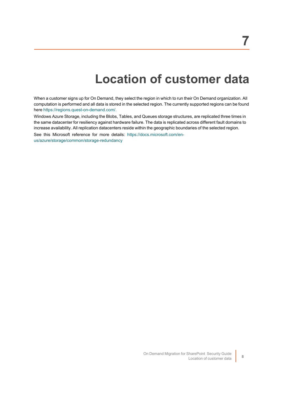# **Location of customer data**

<span id="page-10-0"></span>When a customer signs up for On Demand, they select the region in which to run their On Demand organization. All computation is performed and all data is stored in the selected region. The currently supported regions can be found here [https://regions.quest-on-demand.com/.](https://regions.quest-on-demand.com/)

Windows Azure Storage, including the Blobs, Tables, and Queues storage structures, are replicated three times in the same datacenter for resiliency against hardware failure. The data is replicated across different fault domains to increase availability. All replication datacenters reside within the geographic boundaries of the selected region.

See this Microsoft reference for more details: [https://docs.microsoft.com/en](https://docs.microsoft.com/en-us/azure/storage/common/storage-redundancy)[us/azure/storage/common/storage-redundancy](https://docs.microsoft.com/en-us/azure/storage/common/storage-redundancy)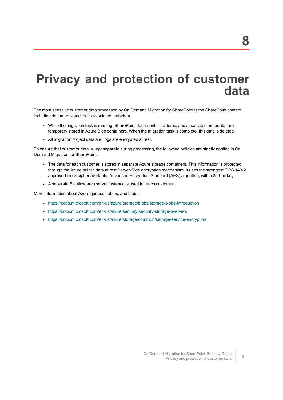## <span id="page-11-0"></span>**Privacy and protection of customer data**

The most sensitive customer data processed by On Demand Migration for SharePoint is the SharePoint content including documents and their associated metadata.

- While the migration task is running, SharePoint documents, list items, and associated metadata, are temporary stored in Azure Blob containers. When the migration task is complete, this data is deleted.
- All migration project data and logs are encrypted at rest.

To ensure that customer data is kept separate during processing, the following policies are strictly applied in On Demand Migration for SharePoint:

- The data for each customer is stored in separate Azure storage containers. This information is protected through the Azure built in data at rest Server-Side encryption mechanism. It uses the strongest FIPS 140-2 approved block cipher available, Advanced Encryption Standard (AES) algorithm, with a 256-bit key.
- A separate Elasticsearch server instance is used for each customer.

More information about Azure queues, tables, and blobs:

- <https://docs.microsoft.com/en-us/azure/storage/blobs/storage-blobs-introduction>
- <https://docs.microsoft.com/en-us/azure/security/security-storage-overview>
- <https://docs.microsoft.com/en-us/azure/storage/common/storage-service-encryption>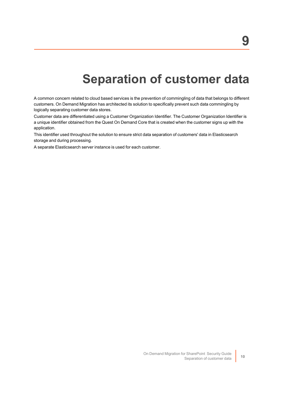# **Separation of customer data**

<span id="page-12-0"></span>A common concern related to cloud based services is the prevention of commingling of data that belongs to different customers. On Demand Migration has architected its solution to specifically prevent such data commingling by logically separating customer data stores.

Customer data are differentiated using a Customer Organization Identifier. The Customer Organization Identifier is a unique identifier obtained from the Quest On Demand Core that is created when the customer signs up with the application.

This identifier used throughout the solution to ensure strict data separation of customers' data in Elasticsearch storage and during processing.

A separate Elasticsearch server instance is used for each customer.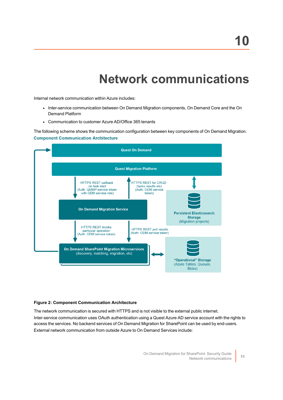# **Network communications**

<span id="page-13-0"></span>Internal network communication within Azure includes:

- Inter-service communication between On Demand Migration components, On Demand Core and the On Demand Platform
- Communication to customer Azure AD/Office 365 tenants

The following scheme shows the communication configuration between key components of On Demand Migration. **Component Communication Architecture** 



#### **Figure 2: Component Communication Architecture**

The network communication is secured with HTTPS and is not visible to the external public internet. Inter-service communication uses OAuth authentication using a Quest Azure AD service account with the rights to access the services. No backend services of On Demand Migration for SharePoint can be used by end-users. External network communication from outside Azure to On Demand Services include: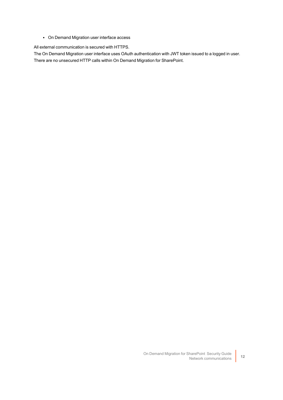• On Demand Migration user interface access

All external communication is secured with HTTPS.

The On Demand Migration user interface uses OAuth authentication with JWT token issued to a logged in user. There are no unsecured HTTP calls within On Demand Migration for SharePoint.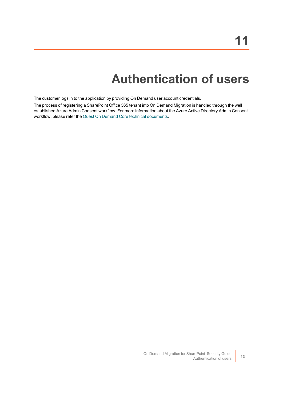# **Authentication of users**

<span id="page-15-0"></span>The customer logs in to the application by providing On Demand user account credentials.

The process of registering a SharePoint Office 365 tenant into On Demand Migration is handled through the well established Azure Admin Consent workflow. For more information about the Azure Active Directory Admin Consent workflow, please refer the Quest On Demand Core technical [documents](https://support.quest.com/technical-documents/on-demand-global-settings/current/user-guide/13#TOPIC-1567780).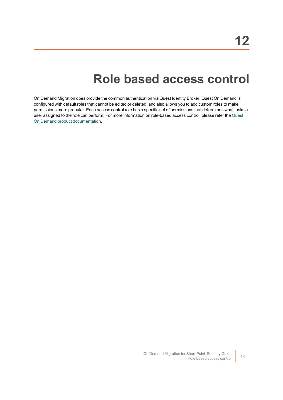### **Role based access control**

<span id="page-16-0"></span>On Demand Migration does provide the common authentication via Quest Identity Broker. Quest On Demand is configured with default roles that cannot be edited or deleted, and also allows you to add custom roles to make permissions more granular. Each access control role has a specific set of permissions that determines what tasks a user assigned to the role can perform. For more information on role-based access control, please refer the [Quest](https://support.quest.com/technical-documents/on-demand-global-settings/user-guide/adding-users-to-an-organization/adding-users-and-assigning-a-role) On Demand product [documentation](https://support.quest.com/technical-documents/on-demand-global-settings/user-guide/adding-users-to-an-organization/adding-users-and-assigning-a-role).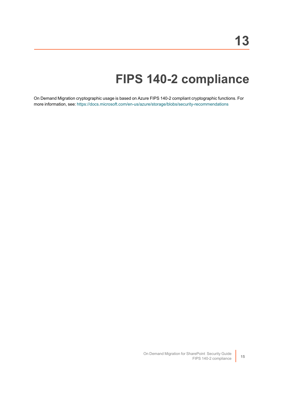# **FIPS 140-2 compliance**

<span id="page-17-0"></span>On Demand Migration cryptographic usage is based on Azure FIPS 140-2 compliant cryptographic functions. For more information, see: <https://docs.microsoft.com/en-us/azure/storage/blobs/security-recommendations>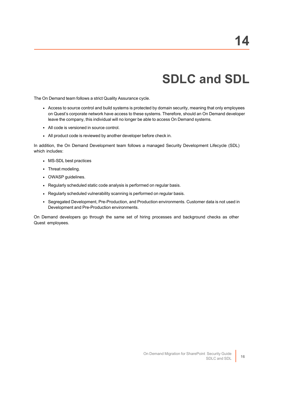# **SDLC and SDL**

<span id="page-18-0"></span>The On Demand team follows a strict Quality Assurance cycle.

- Access to source control and build systems is protected by domain security, meaning that only employees on Quest's corporate network have access to these systems. Therefore, should an On Demand developer leave the company, this individual will no longer be able to access On Demand systems.
- All code is versioned in source control.
- All product code is reviewed by another developer before check in.

In addition, the On Demand Development team follows a managed Security Development Lifecycle (SDL) which includes:

- MS-SDL best practices
- Threat modeling.
- OWASP guidelines.
- Regularly scheduled static code analysis is performed on regular basis.
- Regularly scheduled vulnerability scanning is performed on regular basis.
- Segregated Development, Pre-Production, and Production environments. Customer data is not used in Development and Pre-Production environments.

On Demand developers go through the same set of hiring processes and background checks as other Quest employees.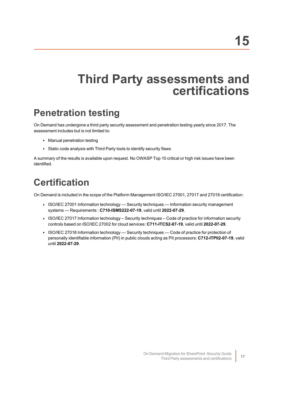## <span id="page-19-0"></span>**Third Party assessments and certifications**

### <span id="page-19-1"></span>**Penetration testing**

On Demand has undergone a third party security assessment and penetration testing yearly since 2017. The assessment includes but is not limited to:

- Manual penetration testing
- Static code analysis with Third Party tools to identify security flaws

A summary of the results is available upon request. No OWASP Top 10 critical or high risk issues have been identified.

### <span id="page-19-2"></span>**Certification**

On Demand is included in the scope of the Platform Management ISO/IEC 27001, 27017 and 27018 certification:

- ISO/IEC 27001 Information technology Security techniques Information security management systems — Requirements : **C710-ISMS222-07-19**, valid until **2022-07-29**.
- ISO/IEC 27017 Information technology Security techniques Code of practice for information security controls based on ISO/IEC 27002 for cloud services: **C711-ITCS2-07-19**, valid until **2022-07-29**.
- ISO/IEC 27018 Information technology Security techniques Code of practice for protection of personally identifiable information (PII) in public clouds acting as PII processors: **C712-ITPII2-07-19**, valid until **2022-07-29**.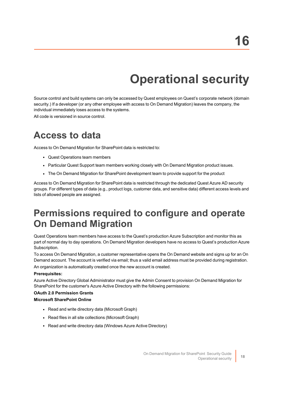# **Operational security**

<span id="page-20-0"></span>Source control and build systems can only be accessed by Quest employees on Quest's corporate network (domain security.) If a developer (or any other employee with access to On Demand Migration) leaves the company, the individual immediately loses access to the systems.

<span id="page-20-1"></span>All code is versioned in source control.

#### **Access to data**

Access to On Demand Migration for SharePoint data is restricted to:

- Quest Operations team members
- Particular Quest Support team members working closely with On Demand Migration product issues.
- The On Demand Migration for SharePoint development team to provide support for the product

Access to On Demand Migration for SharePoint data is restricted through the dedicated Quest Azure AD security groups. For different types of data (e.g., product logs, customer data, and sensitive data) different access levels and lists of allowed people are assigned.

#### <span id="page-20-2"></span>**Permissions required to configure and operate On Demand Migration**

Quest Operations team members have access to the Quest's production Azure Subscription and monitor this as part of normal day to day operations. On Demand Migration developers have no access to Quest's production Azure Subscription.

To access On Demand Migration, a customer representative opens the On Demand website and signs up for an On Demand account. The account is verified via email; thus a valid email address must be provided during registration.

An organization is automatically created once the new account is created.

#### **Prerequisites:**

Azure Active Directory Global Administrator must give the Admin Consent to provision On Demand Migration for SharePoint for the customer's Azure Active Directory with the following permissions:

#### **OAuth 2.0 Permission Grants**

#### **Microsoft SharePoint Online**

- Read and write directory data (Microsoft Graph)
- Read files in all site collections (Microsoft Graph)
- Read and write directory data (Windows Azure Active Directory)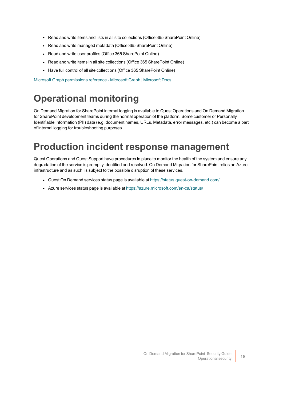- Read and write items and lists in all site collections (Office 365 SharePoint Online)
- Read and write managed metadata (Office 365 SharePoint Online)
- Read and write user profiles (Office 365 SharePoint Online)
- Read and write items in all site collections (Office 365 SharePoint Online)
- Have full control of all site collections (Office 365 SharePoint Online)

<span id="page-21-0"></span>Microsoft Graph [permissions](https://docs.microsoft.com/en-us/graph/permissions-reference) reference - Microsoft Graph | Microsoft Docs

### **Operational monitoring**

On Demand Migration for SharePoint internal logging is available to Quest Operations and On Demand Migration for SharePoint development teams during the normal operation of the platform. Some customer or Personally Identifiable Information (PII) data (e.g. document names, URLs, Metadata, error messages, etc.) can become a part of internal logging for troubleshooting purposes.

### <span id="page-21-1"></span>**Production incident response management**

Quest Operations and Quest Support have procedures in place to monitor the health of the system and ensure any degradation of the service is promptly identified and resolved. On Demand Migration for SharePoint relies an Azure infrastructure and as such, is subject to the possible disruption of these services.

- Quest On Demand services status page is available at <https://status.quest-on-demand.com/>
- Azure services status page is available at <https://azure.microsoft.com/en-ca/status/>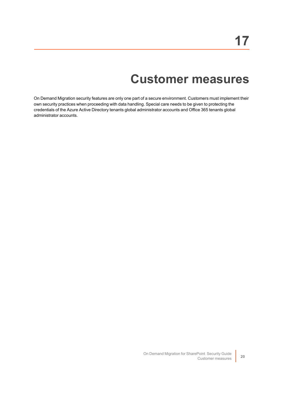## **Customer measures**

<span id="page-22-0"></span>On Demand Migration security features are only one part of a secure environment. Customers must implement their own security practices when proceeding with data handling. Special care needs to be given to protecting the credentials of the Azure Active Directory tenants global administrator accounts and Office 365 tenants global administrator accounts.